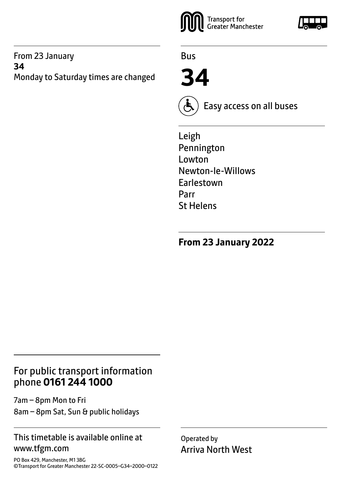#### From 23 January **34** Monday to Saturday times are changed



Bus

**34**



Easy access on all buses

Leigh Pennington Lowton Newton-le-Willows Earlestown Parr St Helens

**From 23 January 2022**

# For public transport information phone **0161 244 1000**

7am – 8pm Mon to Fri 8am – 8pm Sat, Sun & public holidays

#### This timetable is available online at www.tfgm.com

PO Box 429, Manchester, M1 3BG ©Transport for Greater Manchester 22-SC-0005–G34–2000–0122 Operated by Arriva North West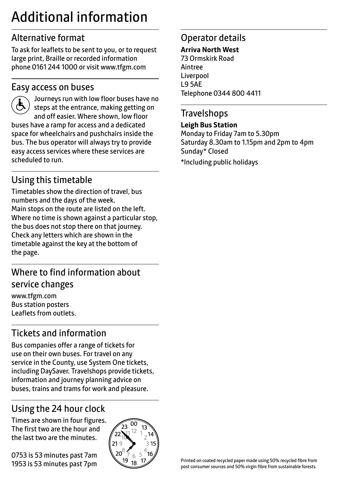# Additional information

# Alternative format

To ask for leaflets to be sent to you, or to request large print, Braille or recorded information phone 0161 244 1000 or visit www.tfgm.com

#### Easy access on buses



 Journeys run with low floor buses have no steps at the entrance, making getting on and off easier. Where shown, low floor buses have a ramp for access and a dedicated space for wheelchairs and pushchairs inside the bus. The bus operator will always try to provide easy access services where these services are scheduled to run.

# Using this timetable

Timetables show the direction of travel, bus numbers and the days of the week. Main stops on the route are listed on the left. Where no time is shown against a particular stop, the bus does not stop there on that journey. Check any letters which are shown in the timetable against the key at the bottom of the page.

# Where to find information about service changes

www.tfgm.com Bus station posters Leaflets from outlets.

# Tickets and information

Bus companies offer a range of tickets for use on their own buses. For travel on any service in the County, use System One tickets, including DaySaver. Travelshops provide tickets, information and journey planning advice on buses, trains and trams for work and pleasure.

# Using the 24 hour clock

Times are shown in four figures. The first two are the hour and the last two are the minutes.

0753 is 53 minutes past 7am 1953 is 53 minutes past 7pm



# Operator details

#### **Arriva North West**

73 Ormskirk Road Aintree Liverpool L9 5AE Telephone 0344 800 4411

#### **Travelshops**

**Leigh Bus Station** Monday to Friday 7am to 5.30pm Saturday 8.30am to 1.15pm and 2pm to 4pm Sunday\* Closed \*Including public holidays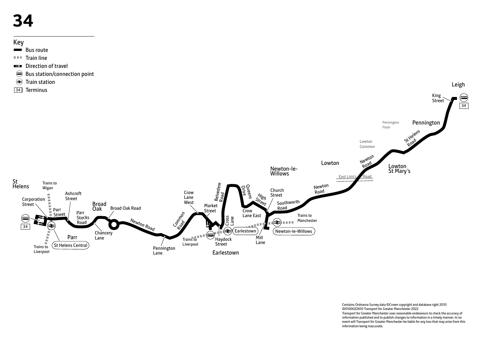# **34**

## Key

- Bus route
- $T = T$ Train line
- **EX** Direction of travel
- Bus station/connection point
- **<sup>₹</sup>** Train station
- 34 Terminus



Contains Ordnance Survey data ©Crown copyright and database right 2010 ©0100022610 Transport for Greater Manchester 2022 Transport for Greater Manchester uses reasonable endeavours to check the accuracy of information published and to publish changes to information in a timely manner. In no event will Transport for Greater Manchester be liable for any loss that may arise from this information being inaccurate.

Leigh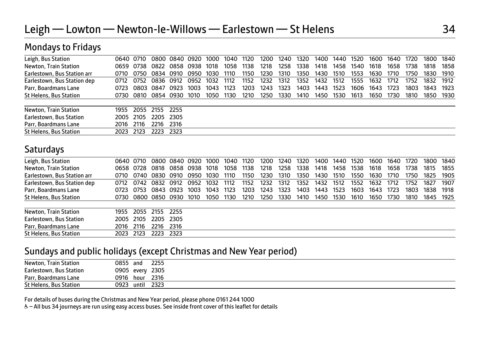| -                             |      |           |           |       |      |      |      |      |      |      |      |      |      |      |      |      |      |      |      |
|-------------------------------|------|-----------|-----------|-------|------|------|------|------|------|------|------|------|------|------|------|------|------|------|------|
| Leigh, Bus Station            |      | 0640 0710 | 0800      | 0840  | 0920 | 1000 | 1040 | 1120 | 1200 | 1240 | 1320 | 1400 | 1440 | 1520 | 1600 | 1640 | 1720 | 1800 | 1840 |
| Newton, Train Station         |      | 0659 0738 | 0822      | 0858  | 0938 | 1018 | 1058 | 1138 | 1218 | 1258 | 1338 | 1418 | 1458 | 1540 | 1618 | 1658 | 1738 | 1818 | 1858 |
| Earlestown, Bus Station arr   | O710 | 0750      | 0834      | 0910  | 0950 | 1030 | 1110 | 1150 | 1230 | 1310 | 1350 | 1430 | 1510 | 1553 | 1630 | 1710 | 1750 | 1830 | 1910 |
| Earlestown, Bus Station dep   | 0712 | 0752      | 0836      | 0912  | 0952 | 1032 | 1112 | 1152 | 1232 | 1312 | 1352 | 1432 | 1512 | 1555 | 1632 | 1712 | 1752 | 1832 | 1912 |
| Parr, Boardmans Lane          | 0723 |           | 0803 0847 | 0923  | 1003 | 1043 | 1123 | 1203 | 1243 | 1323 | 1403 | 1443 | 1523 | 1606 | 1643 | 1723 | 1803 | 1843 | 1923 |
| St Helens, Bus Station        | 0730 | 0810      | 0854      | 0930  | 1010 | 1050 | 1130 | 1210 | 1250 | 1330 | 1410 | 1450 | 1530 | 1613 | 1650 | 1730 | 1810 | 1850 | 1930 |
| Newton, Train Station         | 1955 | 2055      | 2155      | 2255  |      |      |      |      |      |      |      |      |      |      |      |      |      |      |      |
| Earlestown, Bus Station       | 2005 | 2105      | 2205 2305 |       |      |      |      |      |      |      |      |      |      |      |      |      |      |      |      |
| Parr, Boardmans Lane          | 2016 | 2116      | 2216      | 2316  |      |      |      |      |      |      |      |      |      |      |      |      |      |      |      |
| <b>St Helens, Bus Station</b> | 2023 | 2123      | 2223      | -2323 |      |      |      |      |      |      |      |      |      |      |      |      |      |      |      |

## **Saturdays**

Mondays to Fridays

| Leigh, Bus Station            |      | 0640 0710 |                     | 0800 0840 0920      |           | 1000 | 1040 | 1120 | 1200 | 1240 | 1320 | 1400 | 1440 | 1520 | 1600 | 1640 | 1720 | 1800 | 1840 |
|-------------------------------|------|-----------|---------------------|---------------------|-----------|------|------|------|------|------|------|------|------|------|------|------|------|------|------|
| Newton, Train Station         |      |           | 0658 0728 0818      |                     | 0858 0938 | 1018 | 1058 | 1138 | 1218 | 1258 | 1338 | 1418 | 1458 | 1538 | 1618 | 1658 | 1738 | 1815 | 1855 |
| Earlestown, Bus Station arr   |      |           |                     | 0710 0740 0830 0910 | 0950      | 1030 | 1110 | 1150 | 1230 | 1310 | 1350 | 1430 | 1510 | 1550 | 1630 | 1710 | 1750 | 1825 | 1905 |
| Earlestown, Bus Station dep   |      |           | 0712 0742 0832 0912 |                     | 0952      | 1032 | 1112 | 1152 | 1232 | 1312 | 1352 | 1432 | 1512 | 1552 | 1632 | 1712 | 1752 | 1827 | 1907 |
| Parr, Boardmans Lane          |      |           | 0723 0753 0843 0923 |                     | 1003      | 1043 | 1123 | 1203 | 1243 | 1323 | 1403 | 1443 | 1523 | 1603 | 1643 | 1723 | 1803 | 1838 | 1918 |
| <b>St Helens, Bus Station</b> |      |           |                     | 0730 0800 0850 0930 | 1010      | 1050 | 1130 | 1210 | 1250 | 1330 | 1410 | 1450 | 1530 | 1610 | 1650 | 1730 | 1810 | 1845 | 1925 |
|                               |      |           |                     |                     |           |      |      |      |      |      |      |      |      |      |      |      |      |      |      |
| Newton, Train Station         |      |           | 1955 2055 2155 2255 |                     |           |      |      |      |      |      |      |      |      |      |      |      |      |      |      |
| Earlestown, Bus Station       |      | 2005 2105 | 2205 2305           |                     |           |      |      |      |      |      |      |      |      |      |      |      |      |      |      |
| Parr, Boardmans Lane          | 2016 | 2116      | 2216                | 2316                |           |      |      |      |      |      |      |      |      |      |      |      |      |      |      |
| <b>St Helens, Bus Station</b> | 2023 | 2123      | 2223                | 2323                |           |      |      |      |      |      |      |      |      |      |      |      |      |      |      |
|                               |      |           |                     |                     |           |      |      |      |      |      |      |      |      |      |      |      |      |      |      |

#### Sundays and public holidays (except Christmas and New Year period)

| Newton, Train Station   | 0855 and        | 2255 |
|-------------------------|-----------------|------|
| Earlestown, Bus Station | 0905 every 2305 |      |
| Parr, Boardmans Lane    | 0916 hour 2316  |      |
| St Helens, Bus Station  | 0923 until 2323 |      |

For details of buses during the Christmas and New Year period, please phone 0161 244 1000

W– All bus 34 journeys are run using easy access buses. See inside front cover of this leaflet for details